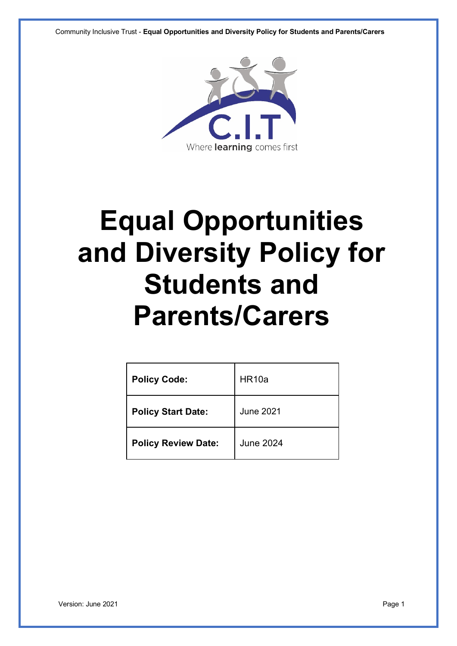Community Inclusive Trust - **Equal Opportunities and Diversity Policy for Students and Parents/Carers**



# **Equal Opportunities and Diversity Policy for Students and Parents/Carers**

| <b>Policy Code:</b>        | HR <sub>10a</sub> |
|----------------------------|-------------------|
| <b>Policy Start Date:</b>  | <b>June 2021</b>  |
| <b>Policy Review Date:</b> | <b>June 2024</b>  |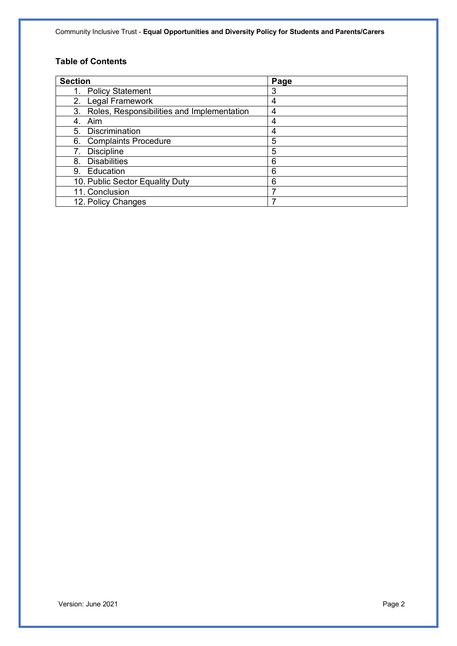Community Inclusive Trust - **Equal Opportunities and Diversity Policy for Students and Parents/Carers**

# **Table of Contents**

| <b>Section</b>                                   | Page |
|--------------------------------------------------|------|
| <b>Policy Statement</b>                          | 3    |
| 2. Legal Framework                               | 4    |
| Roles, Responsibilities and Implementation<br>3. | 4    |
| Aim<br>4.                                        | 4    |
| Discrimination<br>5.                             | 4    |
| 6. Complaints Procedure                          | 5    |
| <b>Discipline</b>                                | 5    |
| <b>Disabilities</b><br>8.                        | 6    |
| Education<br>9.                                  | 6    |
| 10. Public Sector Equality Duty                  | 6    |
| 11. Conclusion                                   | 7    |
| 12. Policy Changes                               |      |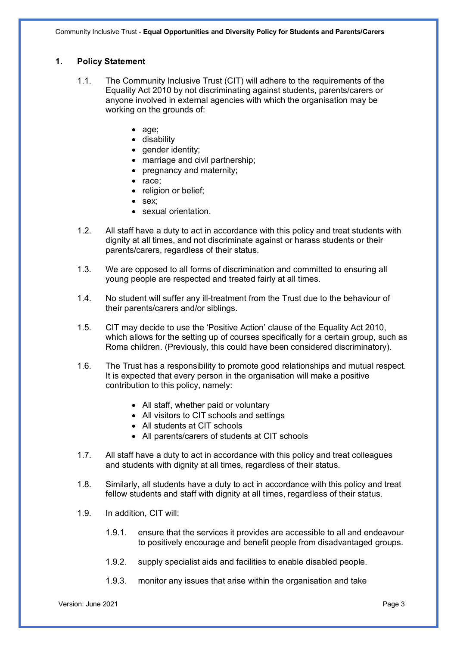# **1. Policy Statement**

- 1.1. The Community Inclusive Trust (CIT) will adhere to the requirements of the Equality Act 2010 by not discriminating against students, parents/carers or anyone involved in external agencies with which the organisation may be working on the grounds of:
	- age;
	- disability
	- gender identity;
	- marriage and civil partnership;
	- pregnancy and maternity:
	- race;
	- religion or belief;
	- sex:
	- sexual orientation.
- 1.2. All staff have a duty to act in accordance with this policy and treat students with dignity at all times, and not discriminate against or harass students or their parents/carers, regardless of their status.
- 1.3. We are opposed to all forms of discrimination and committed to ensuring all young people are respected and treated fairly at all times.
- 1.4. No student will suffer any ill-treatment from the Trust due to the behaviour of their parents/carers and/or siblings.
- 1.5. CIT may decide to use the 'Positive Action' clause of the Equality Act 2010, which allows for the setting up of courses specifically for a certain group, such as Roma children. (Previously, this could have been considered discriminatory).
- 1.6. The Trust has a responsibility to promote good relationships and mutual respect. It is expected that every person in the organisation will make a positive contribution to this policy, namely:
	- All staff, whether paid or voluntary
	- All visitors to CIT schools and settings
	- All students at CIT schools
	- All parents/carers of students at CIT schools
- 1.7. All staff have a duty to act in accordance with this policy and treat colleagues and students with dignity at all times, regardless of their status.
- 1.8. Similarly, all students have a duty to act in accordance with this policy and treat fellow students and staff with dignity at all times, regardless of their status.
- 1.9. In addition, CIT will:
	- 1.9.1. ensure that the services it provides are accessible to all and endeavour to positively encourage and benefit people from disadvantaged groups.
	- 1.9.2. supply specialist aids and facilities to enable disabled people.
	- 1.9.3. monitor any issues that arise within the organisation and take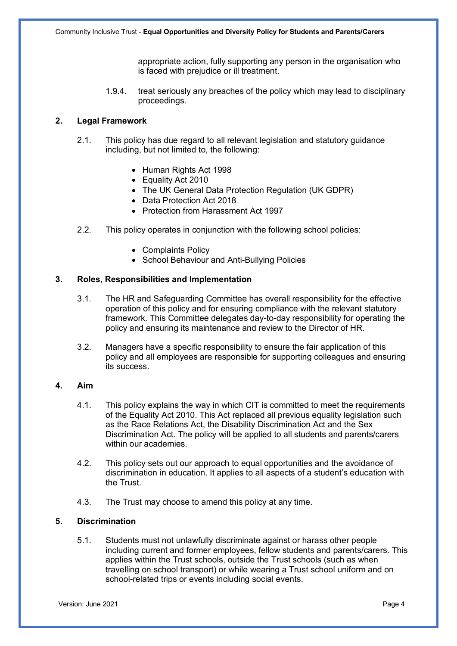appropriate action, fully supporting any person in the organisation who is faced with prejudice or ill treatment.

1.9.4. treat seriously any breaches of the policy which may lead to disciplinary proceedings.

## **2. Legal Framework**

- 2.1. This policy has due regard to all relevant legislation and statutory guidance including, but not limited to, the following:
	- Human Rights Act 1998
	- Equality Act 2010
	- The UK General Data Protection Regulation (UK GDPR)
	- Data Protection Act 2018
	- Protection from Harassment Act 1997
- 2.2. This policy operates in conjunction with the following school policies:
	- Complaints Policy
	- School Behaviour and Anti-Bullying Policies

#### **3. Roles, Responsibilities and Implementation**

- 3.1. The HR and Safeguarding Committee has overall responsibility for the effective operation of this policy and for ensuring compliance with the relevant statutory framework. This Committee delegates day-to-day responsibility for operating the policy and ensuring its maintenance and review to the Director of HR.
- 3.2. Managers have a specific responsibility to ensure the fair application of this policy and all employees are responsible for supporting colleagues and ensuring its success.

#### **4. Aim**

- 4.1. This policy explains the way in which CIT is committed to meet the requirements of the Equality Act 2010. This Act replaced all previous equality legislation such as the Race Relations Act, the Disability Discrimination Act and the Sex Discrimination Act. The policy will be applied to all students and parents/carers within our academies.
- 4.2. This policy sets out our approach to equal opportunities and the avoidance of discrimination in education. It applies to all aspects of a student's education with the Trust.
- 4.3. The Trust may choose to amend this policy at any time.

# **5. Discrimination**

5.1. Students must not unlawfully discriminate against or harass other people including current and former employees, fellow students and parents/carers. This applies within the Trust schools, outside the Trust schools (such as when travelling on school transport) or while wearing a Trust school uniform and on school-related trips or events including social events.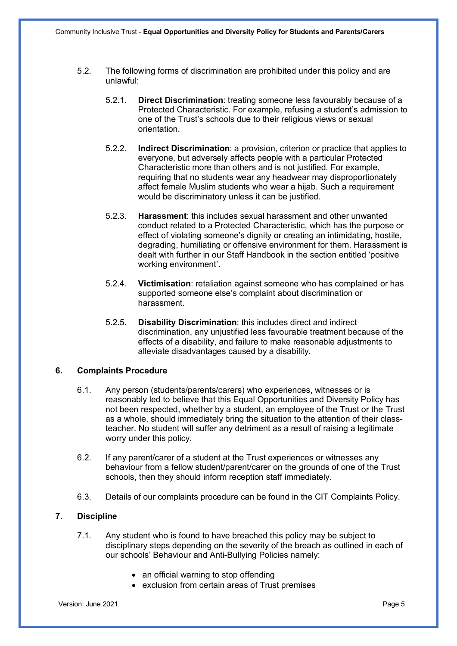- 5.2. The following forms of discrimination are prohibited under this policy and are unlawful:
	- 5.2.1. **Direct Discrimination**: treating someone less favourably because of a Protected Characteristic. For example, refusing a student's admission to one of the Trust's schools due to their religious views or sexual orientation.
	- 5.2.2. **Indirect Discrimination**: a provision, criterion or practice that applies to everyone, but adversely affects people with a particular Protected Characteristic more than others and is not justified. For example, requiring that no students wear any headwear may disproportionately affect female Muslim students who wear a hijab. Such a requirement would be discriminatory unless it can be justified.
	- 5.2.3. **Harassment**: this includes sexual harassment and other unwanted conduct related to a Protected Characteristic, which has the purpose or effect of violating someone's dignity or creating an intimidating, hostile, degrading, humiliating or offensive environment for them. Harassment is dealt with further in our Staff Handbook in the section entitled 'positive working environment'.
	- 5.2.4. **Victimisation**: retaliation against someone who has complained or has supported someone else's complaint about discrimination or harassment.
	- 5.2.5. **Disability Discrimination**: this includes direct and indirect discrimination, any unjustified less favourable treatment because of the effects of a disability, and failure to make reasonable adjustments to alleviate disadvantages caused by a disability.

#### **6. Complaints Procedure**

- 6.1. Any person (students/parents/carers) who experiences, witnesses or is reasonably led to believe that this Equal Opportunities and Diversity Policy has not been respected, whether by a student, an employee of the Trust or the Trust as a whole, should immediately bring the situation to the attention of their classteacher. No student will suffer any detriment as a result of raising a legitimate worry under this policy.
- 6.2. If any parent/carer of a student at the Trust experiences or witnesses any behaviour from a fellow student/parent/carer on the grounds of one of the Trust schools, then they should inform reception staff immediately.
- 6.3. Details of our complaints procedure can be found in the CIT Complaints Policy.

# **7. Discipline**

- 7.1. Any student who is found to have breached this policy may be subject to disciplinary steps depending on the severity of the breach as outlined in each of our schools' Behaviour and Anti-Bullying Policies namely:
	- an official warning to stop offending
	- exclusion from certain areas of Trust premises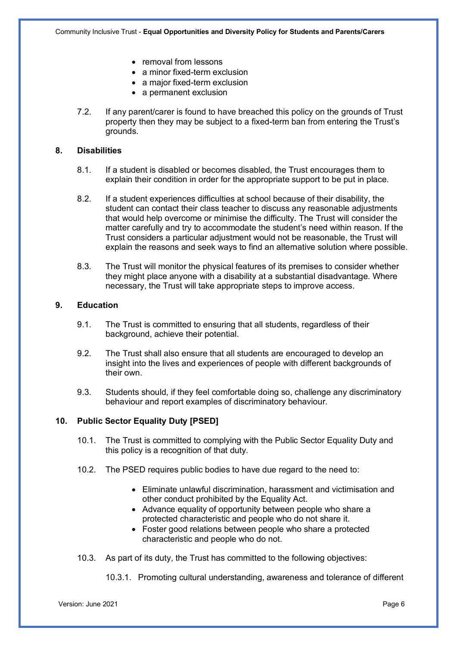- removal from lessons
- a minor fixed-term exclusion
- a major fixed-term exclusion
- a permanent exclusion
- 7.2. If any parent/carer is found to have breached this policy on the grounds of Trust property then they may be subject to a fixed-term ban from entering the Trust's grounds.

## **8. Disabilities**

- 8.1. If a student is disabled or becomes disabled, the Trust encourages them to explain their condition in order for the appropriate support to be put in place.
- 8.2. If a student experiences difficulties at school because of their disability, the student can contact their class teacher to discuss any reasonable adjustments that would help overcome or minimise the difficulty. The Trust will consider the matter carefully and try to accommodate the student's need within reason. If the Trust considers a particular adjustment would not be reasonable, the Trust will explain the reasons and seek ways to find an alternative solution where possible.
- 8.3. The Trust will monitor the physical features of its premises to consider whether they might place anyone with a disability at a substantial disadvantage. Where necessary, the Trust will take appropriate steps to improve access.

## **9. Education**

- 9.1. The Trust is committed to ensuring that all students, regardless of their background, achieve their potential.
- 9.2. The Trust shall also ensure that all students are encouraged to develop an insight into the lives and experiences of people with different backgrounds of their own.
- 9.3. Students should, if they feel comfortable doing so, challenge any discriminatory behaviour and report examples of discriminatory behaviour.

# **10. Public Sector Equality Duty [PSED]**

- 10.1. The Trust is committed to complying with the Public Sector Equality Duty and this policy is a recognition of that duty.
- 10.2. The PSED requires public bodies to have due regard to the need to:
	- Eliminate unlawful discrimination, harassment and victimisation and other conduct prohibited by the Equality Act.
	- Advance equality of opportunity between people who share a protected characteristic and people who do not share it.
	- Foster good relations between people who share a protected characteristic and people who do not.
- 10.3. As part of its duty, the Trust has committed to the following objectives:

10.3.1. Promoting cultural understanding, awareness and tolerance of different